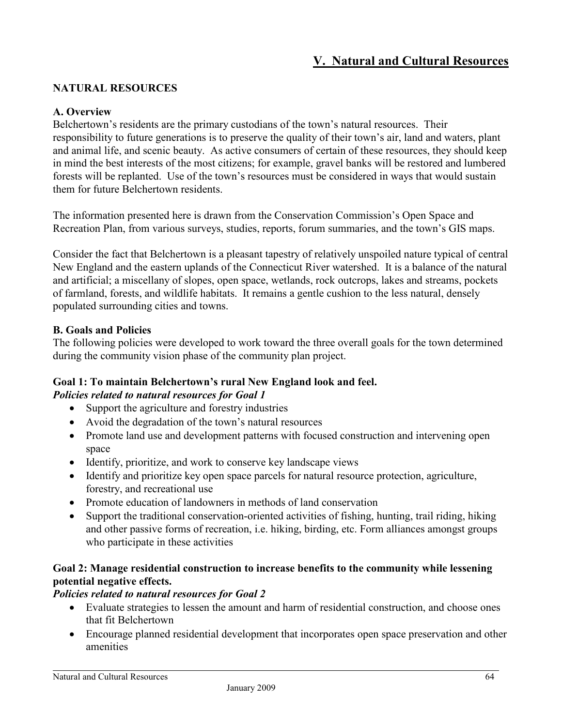# **V. Natural and Cultural Resources**

## **NATURAL RESOURCES**

#### **A. Overview**

Belchertown's residents are the primary custodians of the town's natural resources. Their responsibility to future generations is to preserve the quality of their town's air, land and waters, plant and animal life, and scenic beauty. As active consumers of certain of these resources, they should keep in mind the best interests of the most citizens; for example, gravel banks will be restored and lumbered forests will be replanted. Use of the town's resources must be considered in ways that would sustain them for future Belchertown residents.

The information presented here is drawn from the Conservation Commission's Open Space and Recreation Plan, from various surveys, studies, reports, forum summaries, and the town's GIS maps.

Consider the fact that Belchertown is a pleasant tapestry of relatively unspoiled nature typical of central New England and the eastern uplands of the Connecticut River watershed. It is a balance of the natural and artificial; a miscellany of slopes, open space, wetlands, rock outcrops, lakes and streams, pockets of farmland, forests, and wildlife habitats. It remains a gentle cushion to the less natural, densely populated surrounding cities and towns.

#### **B. Goals and Policies**

The following policies were developed to work toward the three overall goals for the town determined during the community vision phase of the community plan project.

#### **Goal 1: To maintain Belchertown's rural New England look and feel.**  *Policies related to natural resources for Goal 1*

- Support the agriculture and forestry industries
- Avoid the degradation of the town's natural resources
- Promote land use and development patterns with focused construction and intervening open space
- Identify, prioritize, and work to conserve key landscape views
- Identify and prioritize key open space parcels for natural resource protection, agriculture, forestry, and recreational use
- Promote education of landowners in methods of land conservation
- Support the traditional conservation-oriented activities of fishing, hunting, trail riding, hiking and other passive forms of recreation, i.e. hiking, birding, etc. Form alliances amongst groups who participate in these activities

## **Goal 2: Manage residential construction to increase benefits to the community while lessening potential negative effects.**

#### *Policies related to natural resources for Goal 2*

- Evaluate strategies to lessen the amount and harm of residential construction, and choose ones that fit Belchertown
- Encourage planned residential development that incorporates open space preservation and other amenities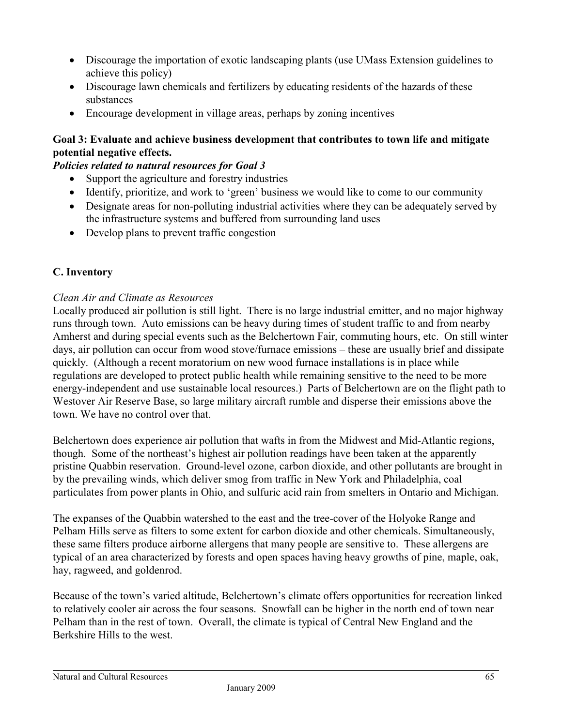- Discourage the importation of exotic landscaping plants (use UMass Extension guidelines to achieve this policy)
- Discourage lawn chemicals and fertilizers by educating residents of the hazards of these substances
- Encourage development in village areas, perhaps by zoning incentives

# **Goal 3: Evaluate and achieve business development that contributes to town life and mitigate potential negative effects.**

## *Policies related to natural resources for Goal 3*

- Support the agriculture and forestry industries
- Identify, prioritize, and work to 'green' business we would like to come to our community
- Designate areas for non-polluting industrial activities where they can be adequately served by the infrastructure systems and buffered from surrounding land uses
- Develop plans to prevent traffic congestion

# **C. Inventory**

# *Clean Air and Climate as Resources*

Locally produced air pollution is still light. There is no large industrial emitter, and no major highway runs through town. Auto emissions can be heavy during times of student traffic to and from nearby Amherst and during special events such as the Belchertown Fair, commuting hours, etc. On still winter days, air pollution can occur from wood stove/furnace emissions – these are usually brief and dissipate quickly. (Although a recent moratorium on new wood furnace installations is in place while regulations are developed to protect public health while remaining sensitive to the need to be more energy-independent and use sustainable local resources.) Parts of Belchertown are on the flight path to Westover Air Reserve Base, so large military aircraft rumble and disperse their emissions above the town. We have no control over that.

Belchertown does experience air pollution that wafts in from the Midwest and Mid-Atlantic regions, though. Some of the northeast's highest air pollution readings have been taken at the apparently pristine Quabbin reservation. Ground-level ozone, carbon dioxide, and other pollutants are brought in by the prevailing winds, which deliver smog from traffic in New York and Philadelphia, coal particulates from power plants in Ohio, and sulfuric acid rain from smelters in Ontario and Michigan.

The expanses of the Quabbin watershed to the east and the tree-cover of the Holyoke Range and Pelham Hills serve as filters to some extent for carbon dioxide and other chemicals. Simultaneously, these same filters produce airborne allergens that many people are sensitive to. These allergens are typical of an area characterized by forests and open spaces having heavy growths of pine, maple, oak, hay, ragweed, and goldenrod.

Because of the town's varied altitude, Belchertown's climate offers opportunities for recreation linked to relatively cooler air across the four seasons. Snowfall can be higher in the north end of town near Pelham than in the rest of town. Overall, the climate is typical of Central New England and the Berkshire Hills to the west.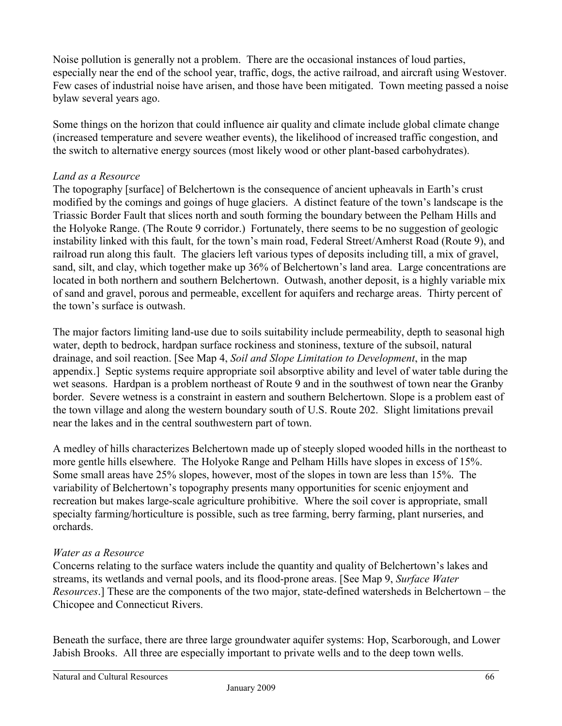Noise pollution is generally not a problem. There are the occasional instances of loud parties, especially near the end of the school year, traffic, dogs, the active railroad, and aircraft using Westover. Few cases of industrial noise have arisen, and those have been mitigated. Town meeting passed a noise bylaw several years ago.

Some things on the horizon that could influence air quality and climate include global climate change (increased temperature and severe weather events), the likelihood of increased traffic congestion, and the switch to alternative energy sources (most likely wood or other plant-based carbohydrates).

# *Land as a Resource*

The topography [surface] of Belchertown is the consequence of ancient upheavals in Earth's crust modified by the comings and goings of huge glaciers. A distinct feature of the town's landscape is the Triassic Border Fault that slices north and south forming the boundary between the Pelham Hills and the Holyoke Range. (The Route 9 corridor.) Fortunately, there seems to be no suggestion of geologic instability linked with this fault, for the town's main road, Federal Street/Amherst Road (Route 9), and railroad run along this fault. The glaciers left various types of deposits including till, a mix of gravel, sand, silt, and clay, which together make up 36% of Belchertown's land area. Large concentrations are located in both northern and southern Belchertown. Outwash, another deposit, is a highly variable mix of sand and gravel, porous and permeable, excellent for aquifers and recharge areas. Thirty percent of the town's surface is outwash.

The major factors limiting land-use due to soils suitability include permeability, depth to seasonal high water, depth to bedrock, hardpan surface rockiness and stoniness, texture of the subsoil, natural drainage, and soil reaction. [See Map 4, *Soil and Slope Limitation to Development*, in the map appendix.] Septic systems require appropriate soil absorptive ability and level of water table during the wet seasons. Hardpan is a problem northeast of Route 9 and in the southwest of town near the Granby border. Severe wetness is a constraint in eastern and southern Belchertown. Slope is a problem east of the town village and along the western boundary south of U.S. Route 202. Slight limitations prevail near the lakes and in the central southwestern part of town.

A medley of hills characterizes Belchertown made up of steeply sloped wooded hills in the northeast to more gentle hills elsewhere. The Holyoke Range and Pelham Hills have slopes in excess of 15%. Some small areas have 25% slopes, however, most of the slopes in town are less than 15%. The variability of Belchertown's topography presents many opportunities for scenic enjoyment and recreation but makes large-scale agriculture prohibitive. Where the soil cover is appropriate, small specialty farming/horticulture is possible, such as tree farming, berry farming, plant nurseries, and orchards.

## *Water as a Resource*

Concerns relating to the surface waters include the quantity and quality of Belchertown's lakes and streams, its wetlands and vernal pools, and its flood-prone areas. [See Map 9, *Surface Water Resources*.] These are the components of the two major, state-defined watersheds in Belchertown – the Chicopee and Connecticut Rivers.

Beneath the surface, there are three large groundwater aquifer systems: Hop, Scarborough, and Lower Jabish Brooks. All three are especially important to private wells and to the deep town wells.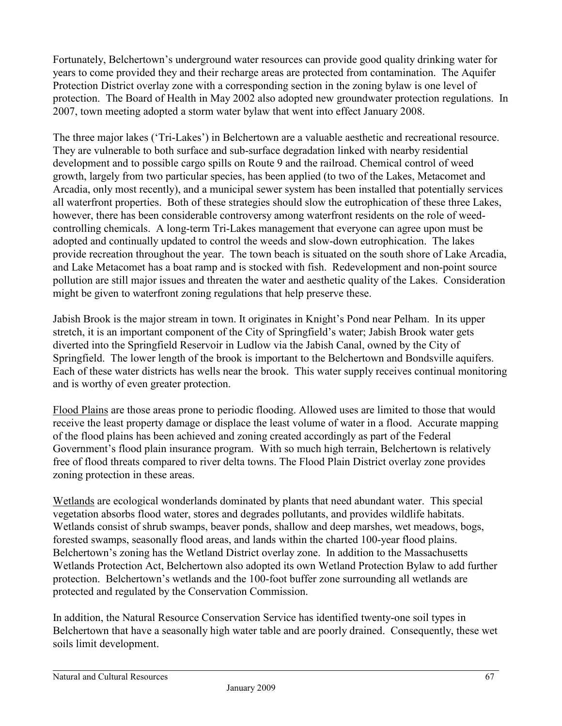Fortunately, Belchertown's underground water resources can provide good quality drinking water for years to come provided they and their recharge areas are protected from contamination. The Aquifer Protection District overlay zone with a corresponding section in the zoning bylaw is one level of protection. The Board of Health in May 2002 also adopted new groundwater protection regulations. In 2007, town meeting adopted a storm water bylaw that went into effect January 2008.

The three major lakes ('Tri-Lakes') in Belchertown are a valuable aesthetic and recreational resource. They are vulnerable to both surface and sub-surface degradation linked with nearby residential development and to possible cargo spills on Route 9 and the railroad. Chemical control of weed growth, largely from two particular species, has been applied (to two of the Lakes, Metacomet and Arcadia, only most recently), and a municipal sewer system has been installed that potentially services all waterfront properties. Both of these strategies should slow the eutrophication of these three Lakes, however, there has been considerable controversy among waterfront residents on the role of weedcontrolling chemicals. A long-term Tri-Lakes management that everyone can agree upon must be adopted and continually updated to control the weeds and slow-down eutrophication. The lakes provide recreation throughout the year. The town beach is situated on the south shore of Lake Arcadia, and Lake Metacomet has a boat ramp and is stocked with fish. Redevelopment and non-point source pollution are still major issues and threaten the water and aesthetic quality of the Lakes. Consideration might be given to waterfront zoning regulations that help preserve these.

Jabish Brook is the major stream in town. It originates in Knight's Pond near Pelham. In its upper stretch, it is an important component of the City of Springfield's water; Jabish Brook water gets diverted into the Springfield Reservoir in Ludlow via the Jabish Canal, owned by the City of Springfield. The lower length of the brook is important to the Belchertown and Bondsville aquifers. Each of these water districts has wells near the brook. This water supply receives continual monitoring and is worthy of even greater protection.

Flood Plains are those areas prone to periodic flooding. Allowed uses are limited to those that would receive the least property damage or displace the least volume of water in a flood. Accurate mapping of the flood plains has been achieved and zoning created accordingly as part of the Federal Government's flood plain insurance program. With so much high terrain, Belchertown is relatively free of flood threats compared to river delta towns. The Flood Plain District overlay zone provides zoning protection in these areas.

Wetlands are ecological wonderlands dominated by plants that need abundant water. This special vegetation absorbs flood water, stores and degrades pollutants, and provides wildlife habitats. Wetlands consist of shrub swamps, beaver ponds, shallow and deep marshes, wet meadows, bogs, forested swamps, seasonally flood areas, and lands within the charted 100-year flood plains. Belchertown's zoning has the Wetland District overlay zone. In addition to the Massachusetts Wetlands Protection Act, Belchertown also adopted its own Wetland Protection Bylaw to add further protection. Belchertown's wetlands and the 100-foot buffer zone surrounding all wetlands are protected and regulated by the Conservation Commission.

In addition, the Natural Resource Conservation Service has identified twenty-one soil types in Belchertown that have a seasonally high water table and are poorly drained. Consequently, these wet soils limit development.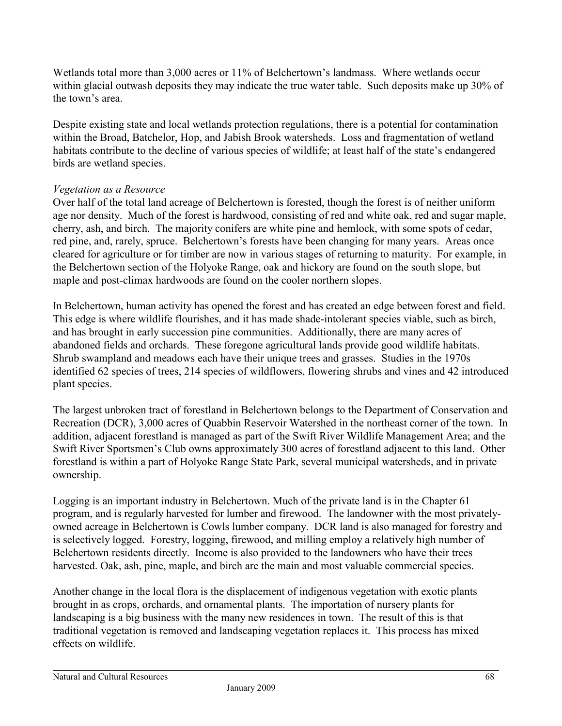Wetlands total more than 3,000 acres or 11% of Belchertown's landmass. Where wetlands occur within glacial outwash deposits they may indicate the true water table. Such deposits make up 30% of the town's area.

Despite existing state and local wetlands protection regulations, there is a potential for contamination within the Broad, Batchelor, Hop, and Jabish Brook watersheds. Loss and fragmentation of wetland habitats contribute to the decline of various species of wildlife; at least half of the state's endangered birds are wetland species.

# *Vegetation as a Resource*

Over half of the total land acreage of Belchertown is forested, though the forest is of neither uniform age nor density. Much of the forest is hardwood, consisting of red and white oak, red and sugar maple, cherry, ash, and birch. The majority conifers are white pine and hemlock, with some spots of cedar, red pine, and, rarely, spruce. Belchertown's forests have been changing for many years. Areas once cleared for agriculture or for timber are now in various stages of returning to maturity. For example, in the Belchertown section of the Holyoke Range, oak and hickory are found on the south slope, but maple and post-climax hardwoods are found on the cooler northern slopes.

In Belchertown, human activity has opened the forest and has created an edge between forest and field. This edge is where wildlife flourishes, and it has made shade-intolerant species viable, such as birch, and has brought in early succession pine communities. Additionally, there are many acres of abandoned fields and orchards. These foregone agricultural lands provide good wildlife habitats. Shrub swampland and meadows each have their unique trees and grasses. Studies in the 1970s identified 62 species of trees, 214 species of wildflowers, flowering shrubs and vines and 42 introduced plant species.

The largest unbroken tract of forestland in Belchertown belongs to the Department of Conservation and Recreation (DCR), 3,000 acres of Quabbin Reservoir Watershed in the northeast corner of the town. In addition, adjacent forestland is managed as part of the Swift River Wildlife Management Area; and the Swift River Sportsmen's Club owns approximately 300 acres of forestland adjacent to this land. Other forestland is within a part of Holyoke Range State Park, several municipal watersheds, and in private ownership.

Logging is an important industry in Belchertown. Much of the private land is in the Chapter 61 program, and is regularly harvested for lumber and firewood. The landowner with the most privatelyowned acreage in Belchertown is Cowls lumber company. DCR land is also managed for forestry and is selectively logged. Forestry, logging, firewood, and milling employ a relatively high number of Belchertown residents directly. Income is also provided to the landowners who have their trees harvested. Oak, ash, pine, maple, and birch are the main and most valuable commercial species.

Another change in the local flora is the displacement of indigenous vegetation with exotic plants brought in as crops, orchards, and ornamental plants. The importation of nursery plants for landscaping is a big business with the many new residences in town. The result of this is that traditional vegetation is removed and landscaping vegetation replaces it. This process has mixed effects on wildlife.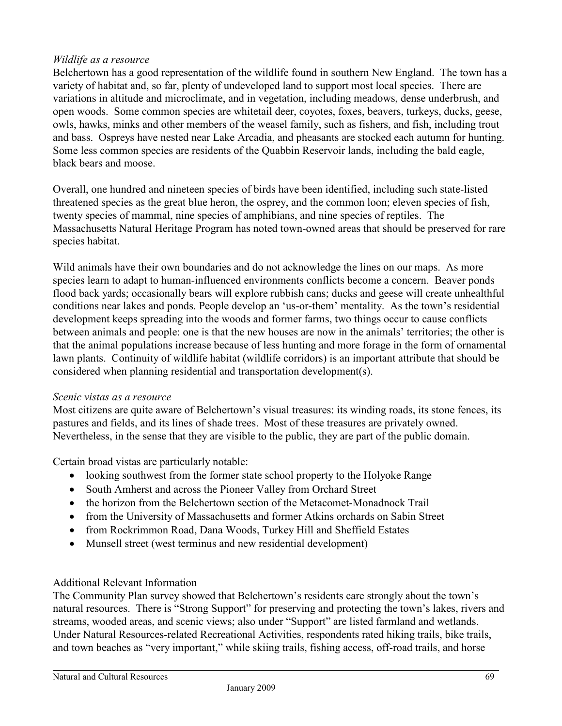## *Wildlife as a resource*

Belchertown has a good representation of the wildlife found in southern New England. The town has a variety of habitat and, so far, plenty of undeveloped land to support most local species. There are variations in altitude and microclimate, and in vegetation, including meadows, dense underbrush, and open woods. Some common species are whitetail deer, coyotes, foxes, beavers, turkeys, ducks, geese, owls, hawks, minks and other members of the weasel family, such as fishers, and fish, including trout and bass. Ospreys have nested near Lake Arcadia, and pheasants are stocked each autumn for hunting. Some less common species are residents of the Quabbin Reservoir lands, including the bald eagle, black bears and moose.

Overall, one hundred and nineteen species of birds have been identified, including such state-listed threatened species as the great blue heron, the osprey, and the common loon; eleven species of fish, twenty species of mammal, nine species of amphibians, and nine species of reptiles. The Massachusetts Natural Heritage Program has noted town-owned areas that should be preserved for rare species habitat.

Wild animals have their own boundaries and do not acknowledge the lines on our maps. As more species learn to adapt to human-influenced environments conflicts become a concern. Beaver ponds flood back yards; occasionally bears will explore rubbish cans; ducks and geese will create unhealthful conditions near lakes and ponds. People develop an 'us-or-them' mentality. As the town's residential development keeps spreading into the woods and former farms, two things occur to cause conflicts between animals and people: one is that the new houses are now in the animals' territories; the other is that the animal populations increase because of less hunting and more forage in the form of ornamental lawn plants. Continuity of wildlife habitat (wildlife corridors) is an important attribute that should be considered when planning residential and transportation development(s).

## *Scenic vistas as a resource*

Most citizens are quite aware of Belchertown's visual treasures: its winding roads, its stone fences, its pastures and fields, and its lines of shade trees. Most of these treasures are privately owned. Nevertheless, in the sense that they are visible to the public, they are part of the public domain.

Certain broad vistas are particularly notable:

- looking southwest from the former state school property to the Holyoke Range
- South Amherst and across the Pioneer Valley from Orchard Street
- the horizon from the Belchertown section of the Metacomet-Monadnock Trail
- from the University of Massachusetts and former Atkins orchards on Sabin Street
- from Rockrimmon Road, Dana Woods, Turkey Hill and Sheffield Estates
- Munsell street (west terminus and new residential development)

## Additional Relevant Information

The Community Plan survey showed that Belchertown's residents care strongly about the town's natural resources. There is "Strong Support" for preserving and protecting the town's lakes, rivers and streams, wooded areas, and scenic views; also under "Support" are listed farmland and wetlands. Under Natural Resources-related Recreational Activities, respondents rated hiking trails, bike trails, and town beaches as "very important," while skiing trails, fishing access, off-road trails, and horse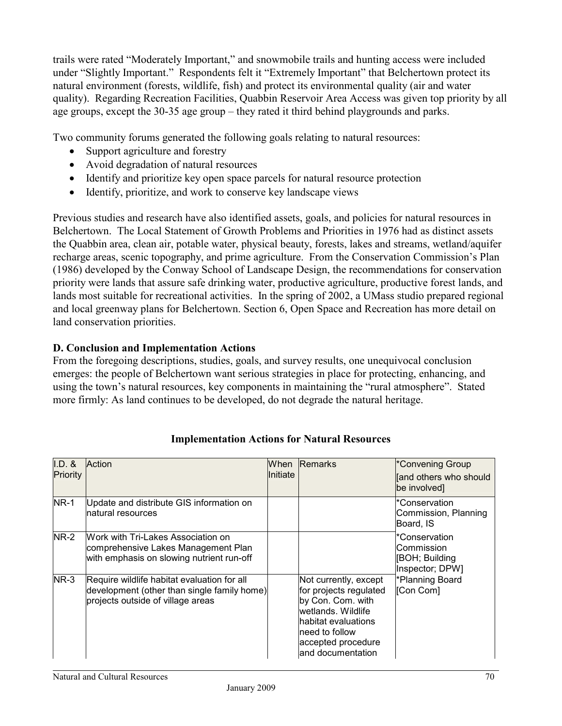trails were rated "Moderately Important," and snowmobile trails and hunting access were included under "Slightly Important." Respondents felt it "Extremely Important" that Belchertown protect its natural environment (forests, wildlife, fish) and protect its environmental quality (air and water quality). Regarding Recreation Facilities, Quabbin Reservoir Area Access was given top priority by all age groups, except the 30-35 age group – they rated it third behind playgrounds and parks.

Two community forums generated the following goals relating to natural resources:

- Support agriculture and forestry
- Avoid degradation of natural resources
- Identify and prioritize key open space parcels for natural resource protection
- Identify, prioritize, and work to conserve key landscape views

Previous studies and research have also identified assets, goals, and policies for natural resources in Belchertown. The Local Statement of Growth Problems and Priorities in 1976 had as distinct assets the Quabbin area, clean air, potable water, physical beauty, forests, lakes and streams, wetland/aquifer recharge areas, scenic topography, and prime agriculture. From the Conservation Commission's Plan (1986) developed by the Conway School of Landscape Design, the recommendations for conservation priority were lands that assure safe drinking water, productive agriculture, productive forest lands, and lands most suitable for recreational activities. In the spring of 2002, a UMass studio prepared regional and local greenway plans for Belchertown. Section 6, Open Space and Recreation has more detail on land conservation priorities.

# **D. Conclusion and Implementation Actions**

From the foregoing descriptions, studies, goals, and survey results, one unequivocal conclusion emerges: the people of Belchertown want serious strategies in place for protecting, enhancing, and using the town's natural resources, key components in maintaining the "rural atmosphere". Stated more firmly: As land continues to be developed, do not degrade the natural heritage.

| $I.D.$ &<br>Priority | Action                                                                                                                          | <b>Initiate</b> | When Remarks                                                                                                                                                                     | *Convening Group<br>and others who should<br>be involved]                                         |
|----------------------|---------------------------------------------------------------------------------------------------------------------------------|-----------------|----------------------------------------------------------------------------------------------------------------------------------------------------------------------------------|---------------------------------------------------------------------------------------------------|
| $NR-1$               | Update and distribute GIS information on<br>Inatural resources                                                                  |                 |                                                                                                                                                                                  | *Conservation<br>Commission, Planning<br>Board, IS                                                |
| <b>NR-2</b>          | Work with Tri-Lakes Association on<br>comprehensive Lakes Management Plan<br>with emphasis on slowing nutrient run-off          |                 |                                                                                                                                                                                  | *Conservation<br>lCommission<br>[BOH; Building<br>Inspector; DPW]<br>*Planning Board<br>[Con Com] |
| NR-3                 | Require wildlife habitat evaluation for all<br>development (other than single family home)<br>projects outside of village areas |                 | Not currently, except<br>for projects regulated<br>by Con. Com. with<br>wetlands. Wildlife<br>lhabitat evaluations<br>lneed to follow<br>accepted procedure<br>and documentation |                                                                                                   |

# **Implementation Actions for Natural Resources**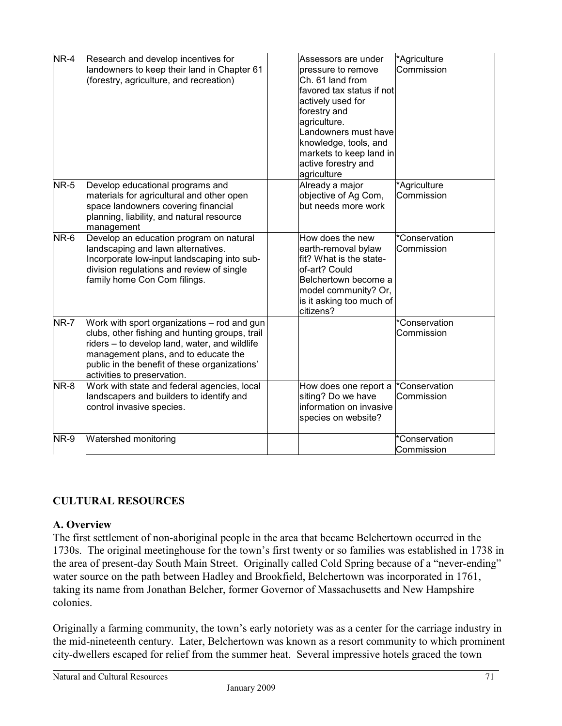| NR-4        | Research and develop incentives for<br>landowners to keep their land in Chapter 61<br>(forestry, agriculture, and recreation)                                                                                                                                          | Assessors are under<br>*Agriculture<br>Commission<br>pressure to remove<br>Ch. 61 land from<br>favored tax status if not<br>actively used for<br>forestry and<br>agriculture.<br>Landowners must have<br>knowledge, tools, and<br>markets to keep land in<br>active forestry and<br>agriculture |
|-------------|------------------------------------------------------------------------------------------------------------------------------------------------------------------------------------------------------------------------------------------------------------------------|-------------------------------------------------------------------------------------------------------------------------------------------------------------------------------------------------------------------------------------------------------------------------------------------------|
| <b>NR-5</b> | Develop educational programs and<br>materials for agricultural and other open<br>space landowners covering financial<br>planning, liability, and natural resource<br>management                                                                                        | Already a major<br>*Agriculture<br>objective of Ag Com,<br>Commission<br>but needs more work                                                                                                                                                                                                    |
| NR-6        | Develop an education program on natural<br>landscaping and lawn alternatives.<br>Incorporate low-input landscaping into sub-<br>division regulations and review of single<br>family home Con Com filings.                                                              | How does the new<br>*Conservation<br>earth-removal bylaw<br>Commission<br>fit? What is the state-<br>of-art? Could<br>Belchertown become a<br>model community? Or,<br>is it asking too much of<br>citizens?                                                                                     |
| <b>NR-7</b> | Work with sport organizations – rod and gun<br>clubs, other fishing and hunting groups, trail<br>riders - to develop land, water, and wildlife<br>management plans, and to educate the<br>public in the benefit of these organizations'<br>activities to preservation. | *Conservation<br>Commission                                                                                                                                                                                                                                                                     |
| NR-8        | Work with state and federal agencies, local<br>landscapers and builders to identify and<br>control invasive species.                                                                                                                                                   | *Conservation<br>How does one report a<br>siting? Do we have<br>Commission<br>information on invasive<br>species on website?                                                                                                                                                                    |
| NR-9        | <b>Watershed monitoring</b>                                                                                                                                                                                                                                            | *Conservation<br>Commission                                                                                                                                                                                                                                                                     |

# **CULTURAL RESOURCES**

## **A. Overview**

The first settlement of non-aboriginal people in the area that became Belchertown occurred in the 1730s. The original meetinghouse for the town's first twenty or so families was established in 1738 in the area of present-day South Main Street. Originally called Cold Spring because of a "never-ending" water source on the path between Hadley and Brookfield, Belchertown was incorporated in 1761, taking its name from Jonathan Belcher, former Governor of Massachusetts and New Hampshire colonies.

Originally a farming community, the town's early notoriety was as a center for the carriage industry in the mid-nineteenth century. Later, Belchertown was known as a resort community to which prominent city-dwellers escaped for relief from the summer heat. Several impressive hotels graced the town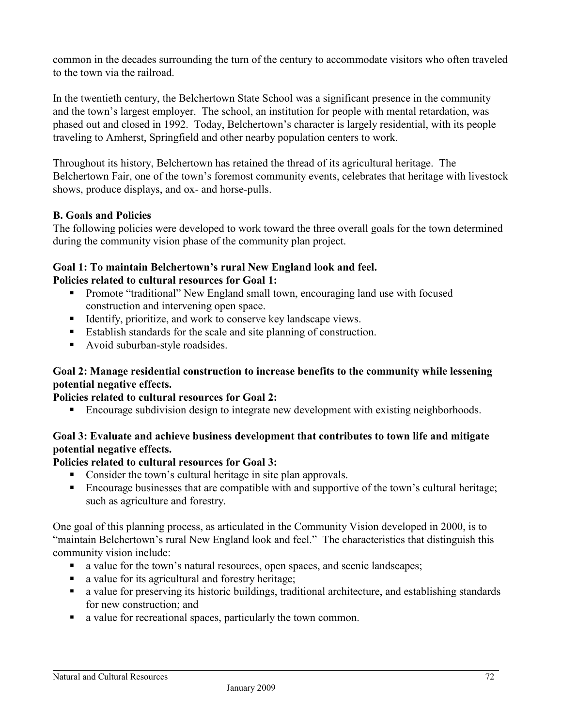common in the decades surrounding the turn of the century to accommodate visitors who often traveled to the town via the railroad.

In the twentieth century, the Belchertown State School was a significant presence in the community and the town's largest employer. The school, an institution for people with mental retardation, was phased out and closed in 1992. Today, Belchertown's character is largely residential, with its people traveling to Amherst, Springfield and other nearby population centers to work.

Throughout its history, Belchertown has retained the thread of its agricultural heritage. The Belchertown Fair, one of the town's foremost community events, celebrates that heritage with livestock shows, produce displays, and ox- and horse-pulls.

# **B. Goals and Policies**

The following policies were developed to work toward the three overall goals for the town determined during the community vision phase of the community plan project.

#### **Goal 1: To maintain Belchertown's rural New England look and feel. Policies related to cultural resources for Goal 1:**

- **Promote "traditional"** New England small town, encouraging land use with focused construction and intervening open space.
- Identify, prioritize, and work to conserve key landscape views.
- Establish standards for the scale and site planning of construction.
- Avoid suburban-style roadsides.

# **Goal 2: Manage residential construction to increase benefits to the community while lessening potential negative effects.**

## **Policies related to cultural resources for Goal 2:**

**Encourage subdivision design to integrate new development with existing neighborhoods.** 

# **Goal 3: Evaluate and achieve business development that contributes to town life and mitigate potential negative effects.**

# **Policies related to cultural resources for Goal 3:**

- Consider the town's cultural heritage in site plan approvals.
- **Encourage businesses that are compatible with and supportive of the town's cultural heritage;** such as agriculture and forestry.

One goal of this planning process, as articulated in the Community Vision developed in 2000, is to "maintain Belchertown's rural New England look and feel." The characteristics that distinguish this community vision include:

- a value for the town's natural resources, open spaces, and scenic landscapes;
- a value for its agricultural and forestry heritage;
- a value for preserving its historic buildings, traditional architecture, and establishing standards for new construction; and
- a value for recreational spaces, particularly the town common.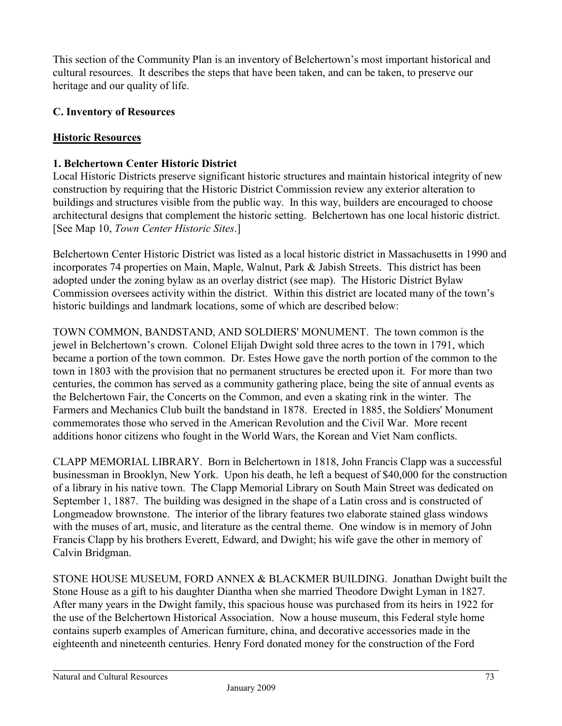This section of the Community Plan is an inventory of Belchertown's most important historical and cultural resources. It describes the steps that have been taken, and can be taken, to preserve our heritage and our quality of life.

# **C. Inventory of Resources**

## **Historic Resources**

## **1. Belchertown Center Historic District**

Local Historic Districts preserve significant historic structures and maintain historical integrity of new construction by requiring that the Historic District Commission review any exterior alteration to buildings and structures visible from the public way. In this way, builders are encouraged to choose architectural designs that complement the historic setting. Belchertown has one local historic district. [See Map 10, *Town Center Historic Sites*.]

Belchertown Center Historic District was listed as a local historic district in Massachusetts in 1990 and incorporates 74 properties on Main, Maple, Walnut, Park & Jabish Streets. This district has been adopted under the zoning bylaw as an overlay district (see map). The Historic District Bylaw Commission oversees activity within the district. Within this district are located many of the town's historic buildings and landmark locations, some of which are described below:

TOWN COMMON, BANDSTAND, AND SOLDIERS' MONUMENT. The town common is the jewel in Belchertown's crown. Colonel Elijah Dwight sold three acres to the town in 1791, which became a portion of the town common. Dr. Estes Howe gave the north portion of the common to the town in 1803 with the provision that no permanent structures be erected upon it. For more than two centuries, the common has served as a community gathering place, being the site of annual events as the Belchertown Fair, the Concerts on the Common, and even a skating rink in the winter. The Farmers and Mechanics Club built the bandstand in 1878. Erected in 1885, the Soldiers' Monument commemorates those who served in the American Revolution and the Civil War. More recent additions honor citizens who fought in the World Wars, the Korean and Viet Nam conflicts.

CLAPP MEMORIAL LIBRARY. Born in Belchertown in 1818, John Francis Clapp was a successful businessman in Brooklyn, New York. Upon his death, he left a bequest of \$40,000 for the construction of a library in his native town. The Clapp Memorial Library on South Main Street was dedicated on September 1, 1887. The building was designed in the shape of a Latin cross and is constructed of Longmeadow brownstone. The interior of the library features two elaborate stained glass windows with the muses of art, music, and literature as the central theme. One window is in memory of John Francis Clapp by his brothers Everett, Edward, and Dwight; his wife gave the other in memory of Calvin Bridgman.

STONE HOUSE MUSEUM, FORD ANNEX & BLACKMER BUILDING. Jonathan Dwight built the Stone House as a gift to his daughter Diantha when she married Theodore Dwight Lyman in 1827. After many years in the Dwight family, this spacious house was purchased from its heirs in 1922 for the use of the Belchertown Historical Association. Now a house museum, this Federal style home contains superb examples of American furniture, china, and decorative accessories made in the eighteenth and nineteenth centuries. Henry Ford donated money for the construction of the Ford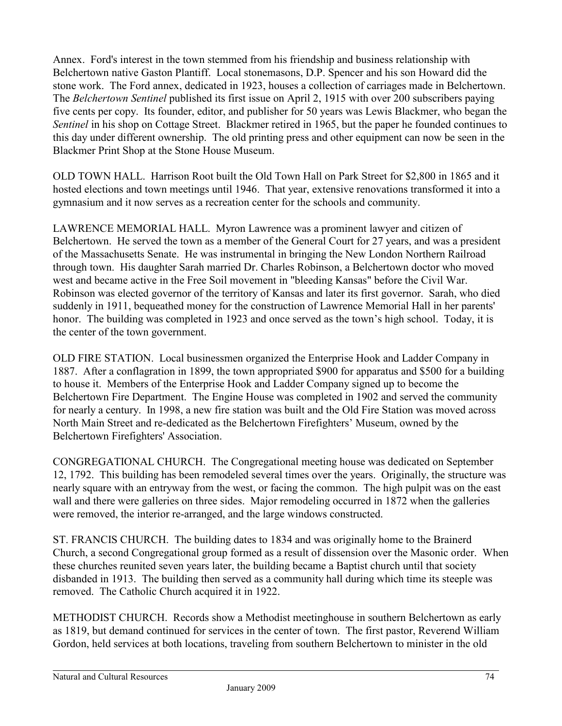Annex. Ford's interest in the town stemmed from his friendship and business relationship with Belchertown native Gaston Plantiff. Local stonemasons, D.P. Spencer and his son Howard did the stone work. The Ford annex, dedicated in 1923, houses a collection of carriages made in Belchertown. The *Belchertown Sentinel* published its first issue on April 2, 1915 with over 200 subscribers paying five cents per copy. Its founder, editor, and publisher for 50 years was Lewis Blackmer, who began the *Sentinel* in his shop on Cottage Street. Blackmer retired in 1965, but the paper he founded continues to this day under different ownership. The old printing press and other equipment can now be seen in the Blackmer Print Shop at the Stone House Museum.

OLD TOWN HALL. Harrison Root built the Old Town Hall on Park Street for \$2,800 in 1865 and it hosted elections and town meetings until 1946. That year, extensive renovations transformed it into a gymnasium and it now serves as a recreation center for the schools and community.

LAWRENCE MEMORIAL HALL. Myron Lawrence was a prominent lawyer and citizen of Belchertown. He served the town as a member of the General Court for 27 years, and was a president of the Massachusetts Senate. He was instrumental in bringing the New London Northern Railroad through town. His daughter Sarah married Dr. Charles Robinson, a Belchertown doctor who moved west and became active in the Free Soil movement in "bleeding Kansas" before the Civil War. Robinson was elected governor of the territory of Kansas and later its first governor. Sarah, who died suddenly in 1911, bequeathed money for the construction of Lawrence Memorial Hall in her parents' honor. The building was completed in 1923 and once served as the town's high school. Today, it is the center of the town government.

OLD FIRE STATION. Local businessmen organized the Enterprise Hook and Ladder Company in 1887. After a conflagration in 1899, the town appropriated \$900 for apparatus and \$500 for a building to house it. Members of the Enterprise Hook and Ladder Company signed up to become the Belchertown Fire Department. The Engine House was completed in 1902 and served the community for nearly a century. In 1998, a new fire station was built and the Old Fire Station was moved across North Main Street and re-dedicated as the Belchertown Firefighters' Museum, owned by the Belchertown Firefighters' Association.

CONGREGATIONAL CHURCH. The Congregational meeting house was dedicated on September 12, 1792. This building has been remodeled several times over the years. Originally, the structure was nearly square with an entryway from the west, or facing the common. The high pulpit was on the east wall and there were galleries on three sides. Major remodeling occurred in 1872 when the galleries were removed, the interior re-arranged, and the large windows constructed.

ST. FRANCIS CHURCH. The building dates to 1834 and was originally home to the Brainerd Church, a second Congregational group formed as a result of dissension over the Masonic order. When these churches reunited seven years later, the building became a Baptist church until that society disbanded in 1913. The building then served as a community hall during which time its steeple was removed. The Catholic Church acquired it in 1922.

METHODIST CHURCH. Records show a Methodist meetinghouse in southern Belchertown as early as 1819, but demand continued for services in the center of town. The first pastor, Reverend William Gordon, held services at both locations, traveling from southern Belchertown to minister in the old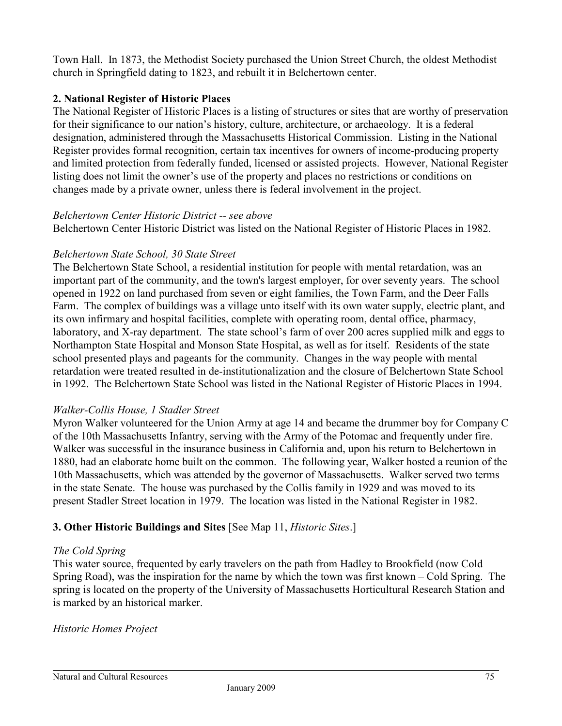Town Hall. In 1873, the Methodist Society purchased the Union Street Church, the oldest Methodist church in Springfield dating to 1823, and rebuilt it in Belchertown center.

# **2. National Register of Historic Places**

The National Register of Historic Places is a listing of structures or sites that are worthy of preservation for their significance to our nation's history, culture, architecture, or archaeology. It is a federal designation, administered through the Massachusetts Historical Commission. Listing in the National Register provides formal recognition, certain tax incentives for owners of income-producing property and limited protection from federally funded, licensed or assisted projects. However, National Register listing does not limit the owner's use of the property and places no restrictions or conditions on changes made by a private owner, unless there is federal involvement in the project.

#### *Belchertown Center Historic District -- see above*

Belchertown Center Historic District was listed on the National Register of Historic Places in 1982.

## *Belchertown State School, 30 State Street*

The Belchertown State School, a residential institution for people with mental retardation, was an important part of the community, and the town's largest employer, for over seventy years. The school opened in 1922 on land purchased from seven or eight families, the Town Farm, and the Deer Falls Farm. The complex of buildings was a village unto itself with its own water supply, electric plant, and its own infirmary and hospital facilities, complete with operating room, dental office, pharmacy, laboratory, and X-ray department. The state school's farm of over 200 acres supplied milk and eggs to Northampton State Hospital and Monson State Hospital, as well as for itself. Residents of the state school presented plays and pageants for the community. Changes in the way people with mental retardation were treated resulted in de-institutionalization and the closure of Belchertown State School in 1992. The Belchertown State School was listed in the National Register of Historic Places in 1994.

## *Walker-Collis House, 1 Stadler Street*

Myron Walker volunteered for the Union Army at age 14 and became the drummer boy for Company C of the 10th Massachusetts Infantry, serving with the Army of the Potomac and frequently under fire. Walker was successful in the insurance business in California and, upon his return to Belchertown in 1880, had an elaborate home built on the common. The following year, Walker hosted a reunion of the 10th Massachusetts, which was attended by the governor of Massachusetts. Walker served two terms in the state Senate. The house was purchased by the Collis family in 1929 and was moved to its present Stadler Street location in 1979. The location was listed in the National Register in 1982.

## **3. Other Historic Buildings and Sites** [See Map 11, *Historic Sites*.]

## *The Cold Spring*

This water source, frequented by early travelers on the path from Hadley to Brookfield (now Cold Spring Road), was the inspiration for the name by which the town was first known – Cold Spring. The spring is located on the property of the University of Massachusetts Horticultural Research Station and is marked by an historical marker.

## *Historic Homes Project*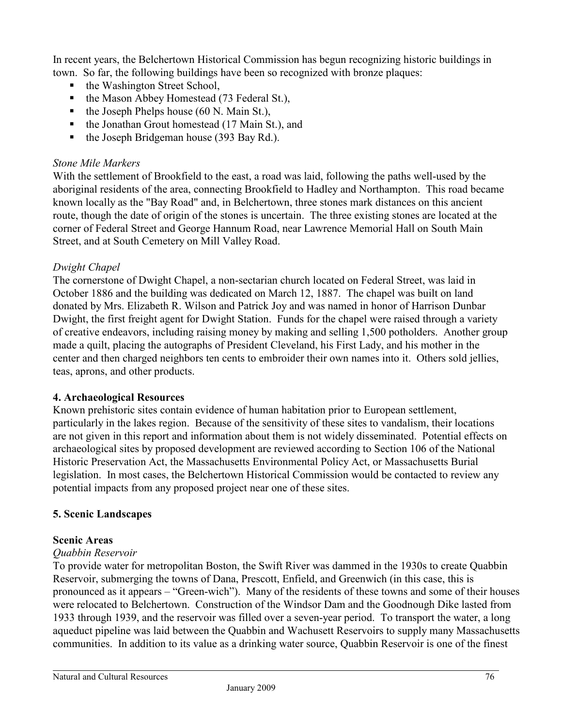In recent years, the Belchertown Historical Commission has begun recognizing historic buildings in town. So far, the following buildings have been so recognized with bronze plaques:

- the Washington Street School,
- $\blacksquare$  the Mason Abbey Homestead (73 Federal St.),
- $\blacksquare$  the Joseph Phelps house (60 N. Main St.),
- $\blacksquare$  the Jonathan Grout homestead (17 Main St.), and
- $\blacksquare$  the Joseph Bridgeman house (393 Bay Rd.).

#### *Stone Mile Markers*

With the settlement of Brookfield to the east, a road was laid, following the paths well-used by the aboriginal residents of the area, connecting Brookfield to Hadley and Northampton. This road became known locally as the "Bay Road" and, in Belchertown, three stones mark distances on this ancient route, though the date of origin of the stones is uncertain. The three existing stones are located at the corner of Federal Street and George Hannum Road, near Lawrence Memorial Hall on South Main Street, and at South Cemetery on Mill Valley Road.

## *Dwight Chapel*

The cornerstone of Dwight Chapel, a non-sectarian church located on Federal Street, was laid in October 1886 and the building was dedicated on March 12, 1887. The chapel was built on land donated by Mrs. Elizabeth R. Wilson and Patrick Joy and was named in honor of Harrison Dunbar Dwight, the first freight agent for Dwight Station. Funds for the chapel were raised through a variety of creative endeavors, including raising money by making and selling 1,500 potholders. Another group made a quilt, placing the autographs of President Cleveland, his First Lady, and his mother in the center and then charged neighbors ten cents to embroider their own names into it. Others sold jellies, teas, aprons, and other products.

## **4. Archaeological Resources**

Known prehistoric sites contain evidence of human habitation prior to European settlement, particularly in the lakes region. Because of the sensitivity of these sites to vandalism, their locations are not given in this report and information about them is not widely disseminated. Potential effects on archaeological sites by proposed development are reviewed according to Section 106 of the National Historic Preservation Act, the Massachusetts Environmental Policy Act, or Massachusetts Burial legislation. In most cases, the Belchertown Historical Commission would be contacted to review any potential impacts from any proposed project near one of these sites.

## **5. Scenic Landscapes**

## **Scenic Areas**

# *Quabbin Reservoir*

To provide water for metropolitan Boston, the Swift River was dammed in the 1930s to create Quabbin Reservoir, submerging the towns of Dana, Prescott, Enfield, and Greenwich (in this case, this is pronounced as it appears – "Green-wich"). Many of the residents of these towns and some of their houses were relocated to Belchertown. Construction of the Windsor Dam and the Goodnough Dike lasted from 1933 through 1939, and the reservoir was filled over a seven-year period. To transport the water, a long aqueduct pipeline was laid between the Quabbin and Wachusett Reservoirs to supply many Massachusetts communities. In addition to its value as a drinking water source, Quabbin Reservoir is one of the finest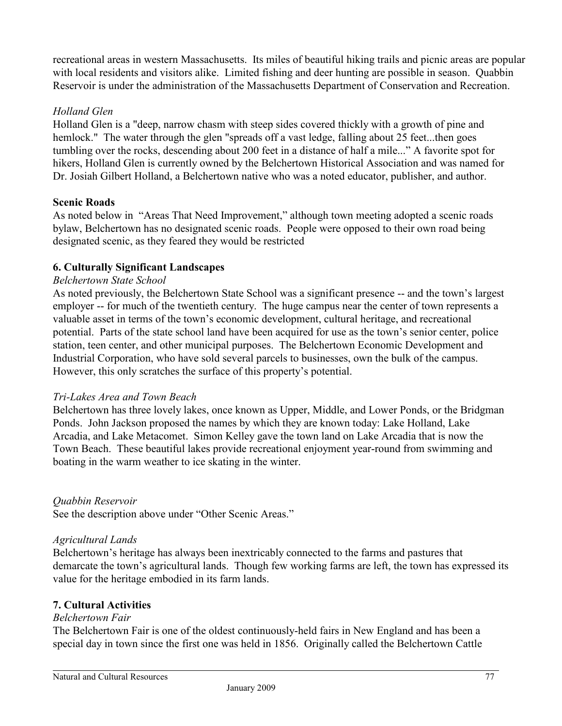recreational areas in western Massachusetts. Its miles of beautiful hiking trails and picnic areas are popular with local residents and visitors alike. Limited fishing and deer hunting are possible in season. Quabbin Reservoir is under the administration of the Massachusetts Department of Conservation and Recreation.

# *Holland Glen*

Holland Glen is a "deep, narrow chasm with steep sides covered thickly with a growth of pine and hemlock." The water through the glen "spreads off a vast ledge, falling about 25 feet...then goes tumbling over the rocks, descending about 200 feet in a distance of half a mile..." A favorite spot for hikers, Holland Glen is currently owned by the Belchertown Historical Association and was named for Dr. Josiah Gilbert Holland, a Belchertown native who was a noted educator, publisher, and author.

## **Scenic Roads**

As noted below in "Areas That Need Improvement," although town meeting adopted a scenic roads bylaw, Belchertown has no designated scenic roads. People were opposed to their own road being designated scenic, as they feared they would be restricted

# **6. Culturally Significant Landscapes**

## *Belchertown State School*

As noted previously, the Belchertown State School was a significant presence -- and the town's largest employer -- for much of the twentieth century. The huge campus near the center of town represents a valuable asset in terms of the town's economic development, cultural heritage, and recreational potential. Parts of the state school land have been acquired for use as the town's senior center, police station, teen center, and other municipal purposes. The Belchertown Economic Development and Industrial Corporation, who have sold several parcels to businesses, own the bulk of the campus. However, this only scratches the surface of this property's potential.

## *Tri-Lakes Area and Town Beach*

Belchertown has three lovely lakes, once known as Upper, Middle, and Lower Ponds, or the Bridgman Ponds. John Jackson proposed the names by which they are known today: Lake Holland, Lake Arcadia, and Lake Metacomet. Simon Kelley gave the town land on Lake Arcadia that is now the Town Beach. These beautiful lakes provide recreational enjoyment year-round from swimming and boating in the warm weather to ice skating in the winter.

# *Quabbin Reservoir*

See the description above under "Other Scenic Areas."

## *Agricultural Lands*

Belchertown's heritage has always been inextricably connected to the farms and pastures that demarcate the town's agricultural lands. Though few working farms are left, the town has expressed its value for the heritage embodied in its farm lands.

## **7. Cultural Activities**

## *Belchertown Fair*

The Belchertown Fair is one of the oldest continuously-held fairs in New England and has been a special day in town since the first one was held in 1856. Originally called the Belchertown Cattle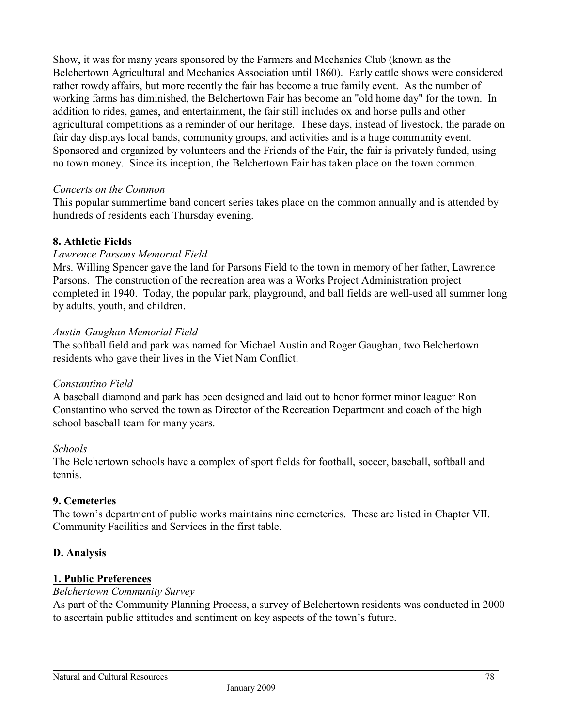Show, it was for many years sponsored by the Farmers and Mechanics Club (known as the Belchertown Agricultural and Mechanics Association until 1860). Early cattle shows were considered rather rowdy affairs, but more recently the fair has become a true family event. As the number of working farms has diminished, the Belchertown Fair has become an "old home day" for the town. In addition to rides, games, and entertainment, the fair still includes ox and horse pulls and other agricultural competitions as a reminder of our heritage. These days, instead of livestock, the parade on fair day displays local bands, community groups, and activities and is a huge community event. Sponsored and organized by volunteers and the Friends of the Fair, the fair is privately funded, using no town money. Since its inception, the Belchertown Fair has taken place on the town common.

#### *Concerts on the Common*

This popular summertime band concert series takes place on the common annually and is attended by hundreds of residents each Thursday evening.

#### **8. Athletic Fields**

#### *Lawrence Parsons Memorial Field*

Mrs. Willing Spencer gave the land for Parsons Field to the town in memory of her father, Lawrence Parsons. The construction of the recreation area was a Works Project Administration project completed in 1940. Today, the popular park, playground, and ball fields are well-used all summer long by adults, youth, and children.

#### *Austin-Gaughan Memorial Field*

The softball field and park was named for Michael Austin and Roger Gaughan, two Belchertown residents who gave their lives in the Viet Nam Conflict.

#### *Constantino Field*

A baseball diamond and park has been designed and laid out to honor former minor leaguer Ron Constantino who served the town as Director of the Recreation Department and coach of the high school baseball team for many years.

#### *Schools*

The Belchertown schools have a complex of sport fields for football, soccer, baseball, softball and tennis.

## **9. Cemeteries**

The town's department of public works maintains nine cemeteries. These are listed in Chapter VII. Community Facilities and Services in the first table.

## **D. Analysis**

## **1. Public Preferences**

#### *Belchertown Community Survey*

As part of the Community Planning Process, a survey of Belchertown residents was conducted in 2000 to ascertain public attitudes and sentiment on key aspects of the town's future.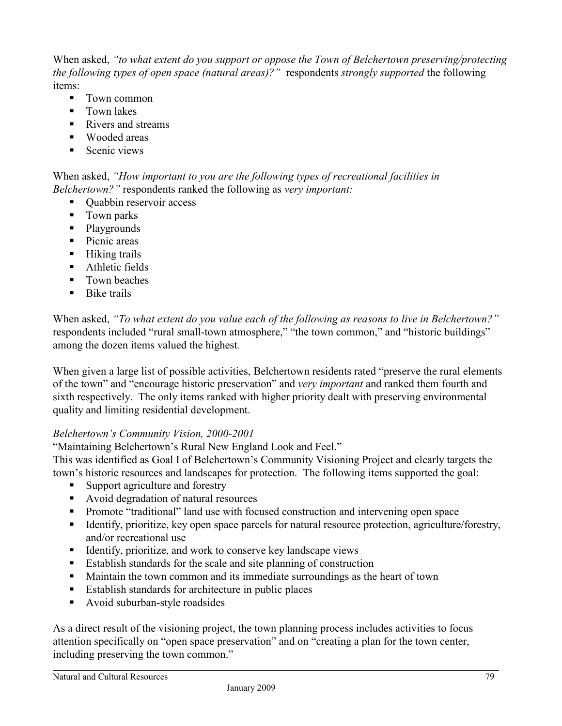When asked, *"to what extent do you support or oppose the Town of Belchertown preserving/protecting the following types of open space (natural areas)?"* respondents *strongly supported* the following items:

- **Town common**
- **Town lakes**
- Rivers and streams
- Wooded areas
- $S_{\text{cenic views}}$

When asked, *"How important to you are the following types of recreational facilities in Belchertown?"* respondents ranked the following as *very important:*

- Ouabbin reservoir access
- Town parks
- Playgrounds
- Picnic areas
- **Hiking trails**
- **Athletic fields**
- **Town beaches**
- $\blacksquare$  Bike trails

When asked, *"To what extent do you value each of the following as reasons to live in Belchertown?"* respondents included "rural small-town atmosphere," "the town common," and "historic buildings" among the dozen items valued the highest*.* 

When given a large list of possible activities, Belchertown residents rated "preserve the rural elements of the town" and "encourage historic preservation" and *very important* and ranked them fourth and sixth respectively. The only items ranked with higher priority dealt with preserving environmental quality and limiting residential development.

## *Belchertown's Community Vision, 2000-2001*

"Maintaining Belchertown's Rural New England Look and Feel."

This was identified as Goal I of Belchertown's Community Visioning Project and clearly targets the town's historic resources and landscapes for protection. The following items supported the goal:

- Support agriculture and forestry
- Avoid degradation of natural resources
- **Promote "traditional" land use with focused construction and intervening open space**
- Identify, prioritize, key open space parcels for natural resource protection, agriculture/forestry, and/or recreational use
- $\blacksquare$  Identify, prioritize, and work to conserve key landscape views
- Establish standards for the scale and site planning of construction
- Maintain the town common and its immediate surroundings as the heart of town
- Establish standards for architecture in public places
- Avoid suburban-style roadsides

As a direct result of the visioning project, the town planning process includes activities to focus attention specifically on "open space preservation" and on "creating a plan for the town center, including preserving the town common."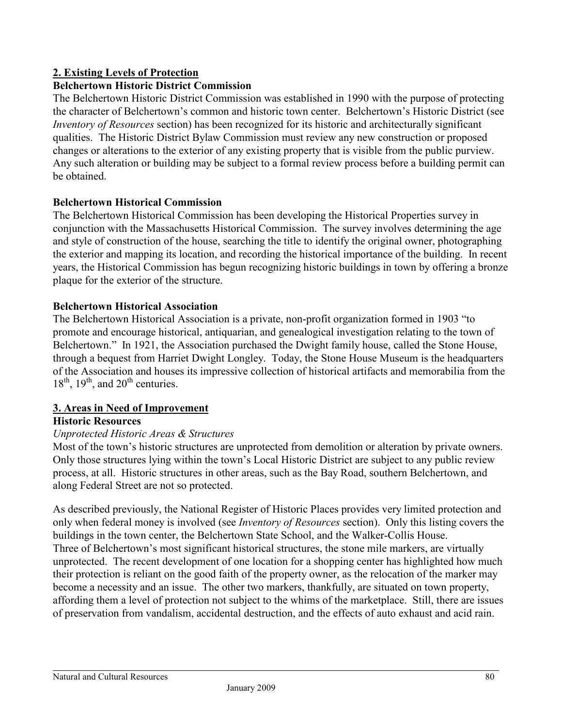# **2. Existing Levels of Protection**

## **Belchertown Historic District Commission**

The Belchertown Historic District Commission was established in 1990 with the purpose of protecting the character of Belchertown's common and historic town center. Belchertown's Historic District (see *Inventory of Resources* section) has been recognized for its historic and architecturally significant qualities. The Historic District Bylaw Commission must review any new construction or proposed changes or alterations to the exterior of any existing property that is visible from the public purview. Any such alteration or building may be subject to a formal review process before a building permit can be obtained.

#### **Belchertown Historical Commission**

The Belchertown Historical Commission has been developing the Historical Properties survey in conjunction with the Massachusetts Historical Commission. The survey involves determining the age and style of construction of the house, searching the title to identify the original owner, photographing the exterior and mapping its location, and recording the historical importance of the building. In recent years, the Historical Commission has begun recognizing historic buildings in town by offering a bronze plaque for the exterior of the structure.

#### **Belchertown Historical Association**

The Belchertown Historical Association is a private, non-profit organization formed in 1903 "to promote and encourage historical, antiquarian, and genealogical investigation relating to the town of Belchertown." In 1921, the Association purchased the Dwight family house, called the Stone House, through a bequest from Harriet Dwight Longley. Today, the Stone House Museum is the headquarters of the Association and houses its impressive collection of historical artifacts and memorabilia from the  $18<sup>th</sup>$ ,  $19<sup>th</sup>$ , and  $20<sup>th</sup>$  centuries.

## **3. Areas in Need of Improvement**

## **Historic Resources**

# *Unprotected Historic Areas & Structures*

Most of the town's historic structures are unprotected from demolition or alteration by private owners. Only those structures lying within the town's Local Historic District are subject to any public review process, at all. Historic structures in other areas, such as the Bay Road, southern Belchertown, and along Federal Street are not so protected.

As described previously, the National Register of Historic Places provides very limited protection and only when federal money is involved (see *Inventory of Resources* section). Only this listing covers the buildings in the town center, the Belchertown State School, and the Walker-Collis House. Three of Belchertown's most significant historical structures, the stone mile markers, are virtually unprotected. The recent development of one location for a shopping center has highlighted how much their protection is reliant on the good faith of the property owner, as the relocation of the marker may become a necessity and an issue. The other two markers, thankfully, are situated on town property, affording them a level of protection not subject to the whims of the marketplace. Still, there are issues of preservation from vandalism, accidental destruction, and the effects of auto exhaust and acid rain.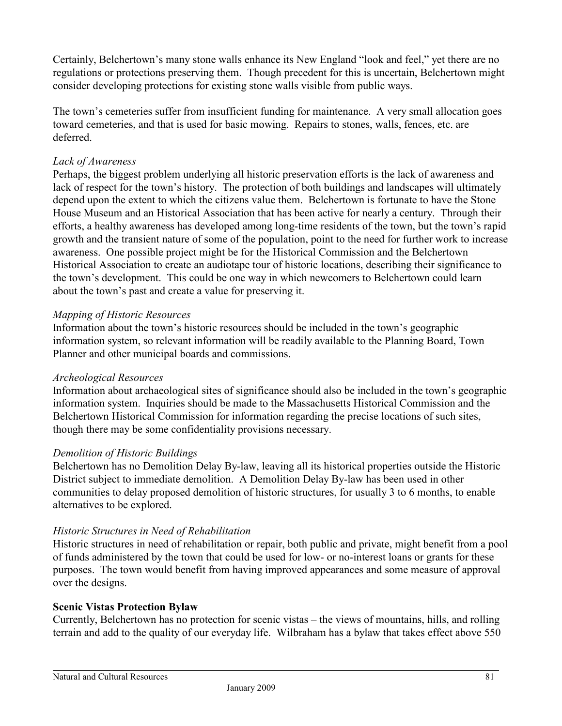Certainly, Belchertown's many stone walls enhance its New England "look and feel," yet there are no regulations or protections preserving them. Though precedent for this is uncertain, Belchertown might consider developing protections for existing stone walls visible from public ways.

The town's cemeteries suffer from insufficient funding for maintenance. A very small allocation goes toward cemeteries, and that is used for basic mowing. Repairs to stones, walls, fences, etc. are deferred.

# *Lack of Awareness*

Perhaps, the biggest problem underlying all historic preservation efforts is the lack of awareness and lack of respect for the town's history. The protection of both buildings and landscapes will ultimately depend upon the extent to which the citizens value them. Belchertown is fortunate to have the Stone House Museum and an Historical Association that has been active for nearly a century. Through their efforts, a healthy awareness has developed among long-time residents of the town, but the town's rapid growth and the transient nature of some of the population, point to the need for further work to increase awareness. One possible project might be for the Historical Commission and the Belchertown Historical Association to create an audiotape tour of historic locations, describing their significance to the town's development. This could be one way in which newcomers to Belchertown could learn about the town's past and create a value for preserving it.

# *Mapping of Historic Resources*

Information about the town's historic resources should be included in the town's geographic information system, so relevant information will be readily available to the Planning Board, Town Planner and other municipal boards and commissions.

## *Archeological Resources*

Information about archaeological sites of significance should also be included in the town's geographic information system. Inquiries should be made to the Massachusetts Historical Commission and the Belchertown Historical Commission for information regarding the precise locations of such sites, though there may be some confidentiality provisions necessary.

## *Demolition of Historic Buildings*

Belchertown has no Demolition Delay By-law, leaving all its historical properties outside the Historic District subject to immediate demolition. A Demolition Delay By-law has been used in other communities to delay proposed demolition of historic structures, for usually 3 to 6 months, to enable alternatives to be explored.

## *Historic Structures in Need of Rehabilitation*

Historic structures in need of rehabilitation or repair, both public and private, might benefit from a pool of funds administered by the town that could be used for low- or no-interest loans or grants for these purposes. The town would benefit from having improved appearances and some measure of approval over the designs.

## **Scenic Vistas Protection Bylaw**

Currently, Belchertown has no protection for scenic vistas – the views of mountains, hills, and rolling terrain and add to the quality of our everyday life. Wilbraham has a bylaw that takes effect above 550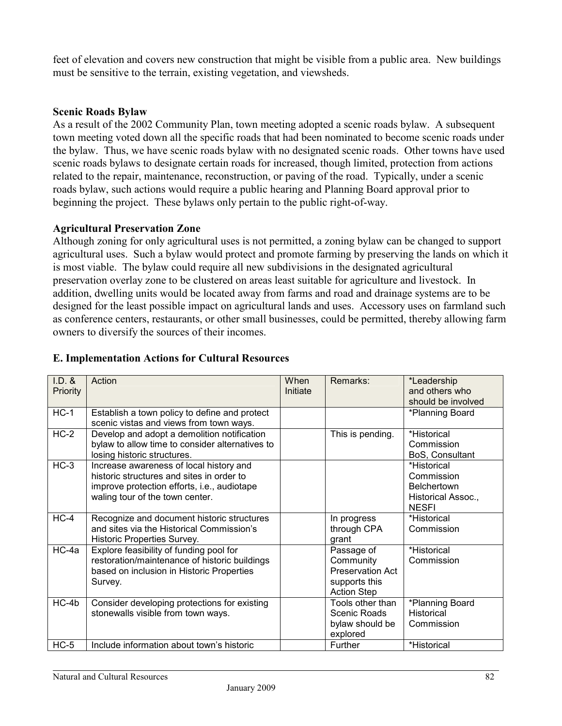feet of elevation and covers new construction that might be visible from a public area. New buildings must be sensitive to the terrain, existing vegetation, and viewsheds.

#### **Scenic Roads Bylaw**

As a result of the 2002 Community Plan, town meeting adopted a scenic roads bylaw. A subsequent town meeting voted down all the specific roads that had been nominated to become scenic roads under the bylaw. Thus, we have scenic roads bylaw with no designated scenic roads. Other towns have used scenic roads bylaws to designate certain roads for increased, though limited, protection from actions related to the repair, maintenance, reconstruction, or paving of the road. Typically, under a scenic roads bylaw, such actions would require a public hearing and Planning Board approval prior to beginning the project. These bylaws only pertain to the public right-of-way.

#### **Agricultural Preservation Zone**

Although zoning for only agricultural uses is not permitted, a zoning bylaw can be changed to support agricultural uses. Such a bylaw would protect and promote farming by preserving the lands on which it is most viable. The bylaw could require all new subdivisions in the designated agricultural preservation overlay zone to be clustered on areas least suitable for agriculture and livestock. In addition, dwelling units would be located away from farms and road and drainage systems are to be designed for the least possible impact on agricultural lands and uses. Accessory uses on farmland such as conference centers, restaurants, or other small businesses, could be permitted, thereby allowing farm owners to diversify the sources of their incomes.

| $I.D.$ &<br>Priority | Action                                                                                                                                                                 | When<br>Initiate | Remarks:                                                                                  | *Leadership<br>and others who<br>should be involved                                   |
|----------------------|------------------------------------------------------------------------------------------------------------------------------------------------------------------------|------------------|-------------------------------------------------------------------------------------------|---------------------------------------------------------------------------------------|
| $HC-1$               | Establish a town policy to define and protect<br>scenic vistas and views from town ways.                                                                               |                  |                                                                                           | *Planning Board                                                                       |
| $HC-2$               | Develop and adopt a demolition notification<br>bylaw to allow time to consider alternatives to<br>losing historic structures.                                          |                  | This is pending.                                                                          | *Historical<br>Commission<br>BoS, Consultant                                          |
| $HC-3$               | Increase awareness of local history and<br>historic structures and sites in order to<br>improve protection efforts, i.e., audiotape<br>waling tour of the town center. |                  |                                                                                           | *Historical<br>Commission<br><b>Belchertown</b><br>Historical Assoc.,<br><b>NESFI</b> |
| $HC-4$               | Recognize and document historic structures<br>and sites via the Historical Commission's<br>Historic Properties Survey.                                                 |                  | In progress<br>through CPA<br>grant                                                       | *Historical<br>Commission                                                             |
| HC-4a                | Explore feasibility of funding pool for<br>restoration/maintenance of historic buildings<br>based on inclusion in Historic Properties<br>Survey.                       |                  | Passage of<br>Community<br><b>Preservation Act</b><br>supports this<br><b>Action Step</b> | *Historical<br>Commission                                                             |
| $HC-4b$              | Consider developing protections for existing<br>stonewalls visible from town ways.                                                                                     |                  | Tools other than<br>Scenic Roads<br>bylaw should be<br>explored                           | *Planning Board<br><b>Historical</b><br>Commission                                    |
| $HC-5$               | Include information about town's historic                                                                                                                              |                  | Further                                                                                   | *Historical                                                                           |

## **E. Implementation Actions for Cultural Resources**